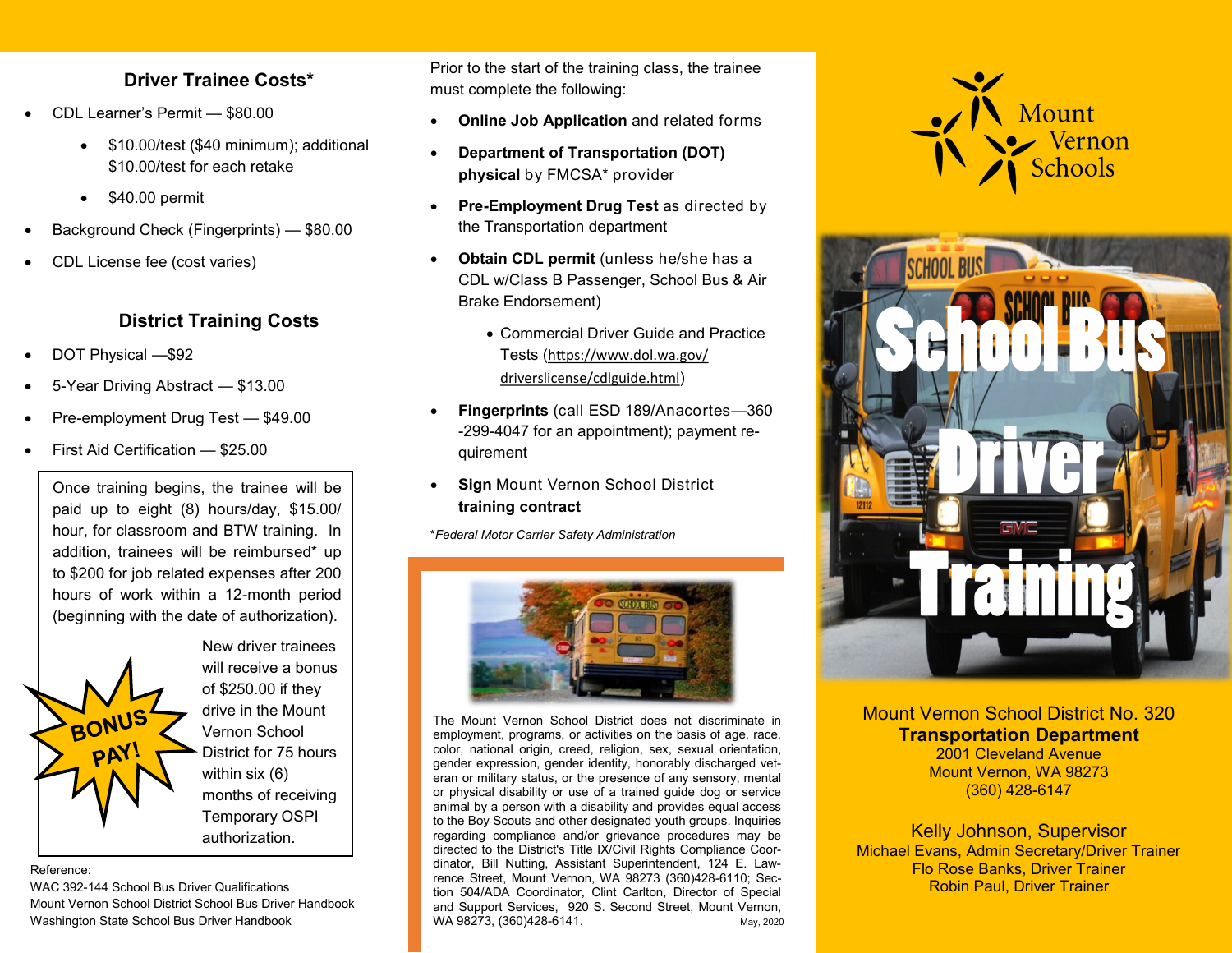### **Driver Trainee Costs\***

- CDL Learner's Permit \$80.00
	- \$10.00/test (\$40 minimum); additional \$10.00/test for each retake
	- $\bullet$  \$40.00 permit
- Background Check (Fingerprints) \$80.00
- CDL License fee (cost varies)

### **District Training Costs**

- DOT Physical —\$92
- 5-Year Driving Abstract \$13.00
- Pre-employment Drug Test \$49.00
- First Aid Certification \$25.00

Once training begins, the trainee will be paid up to eight (8) hours/day, \$15.00/ hour, for classroom and BTW training. In addition, trainees will be reimbursed\* up to \$200 for job related expenses after 200 hours of work within a 12-month period (beginning with the date of authorization).



WAC 392-144 School Bus Driver Qualifications Mount Vernon School District School Bus Driver Handbook Washington State School Bus Driver Handbook

Prior to the start of the training class, the trainee must complete the following:

- **Online Job Application** and related forms
- **Department of Transportation (DOT) physical** by FMCSA\* provider
- **Pre-Employment Drug Test** as directed by the Transportation department
- **Obtain CDL permit** (unless he/she has a CDL w/Class B Passenger, School Bus & Air Brake Endorsement)
	- Commercial Driver Guide and Practice Tests ([https://www.dol.wa.gov/](https://www.dol.wa.gov/driverslicense/cdlguide.html) [driverslicense/cdlguide.html](https://www.dol.wa.gov/driverslicense/cdlguide.html))
- **Fingerprints** (call ESD 189/Anacortes—360 -299-4047 for an appointment); payment requirement
- **Sign** Mount Vernon School District **training contract**

\**Federal Motor Carrier Safety Administration*



May, 2020 The Mount Vernon School District does not discriminate in employment, programs, or activities on the basis of age, race, color, national origin, creed, religion, sex, sexual orientation, gender expression, gender identity, honorably discharged veteran or military status, or the presence of any sensory, mental or physical disability or use of a trained guide dog or service animal by a person with a disability and provides equal access to the Boy Scouts and other designated youth groups. Inquiries regarding compliance and/or grievance procedures may be directed to the District's Title IX/Civil Rights Compliance Coordinator, Bill Nutting, Assistant Superintendent, 124 E. Lawrence Street, Mount Vernon, WA 98273 (360)428-6110; Section 504/ADA Coordinator, Clint Carlton, Director of Special and Support Services, 920 S. Second Street, Mount Vernon, WA 98273, (360)428-6141.





Mount Vernon School District No. 320 **Transportation Department**

2001 Cleveland Avenue Mount Vernon, WA 98273 (360) 428-6147

Kelly Johnson, Supervisor Michael Evans, Admin Secretary/Driver Trainer Flo Rose Banks, Driver Trainer Robin Paul, Driver Trainer